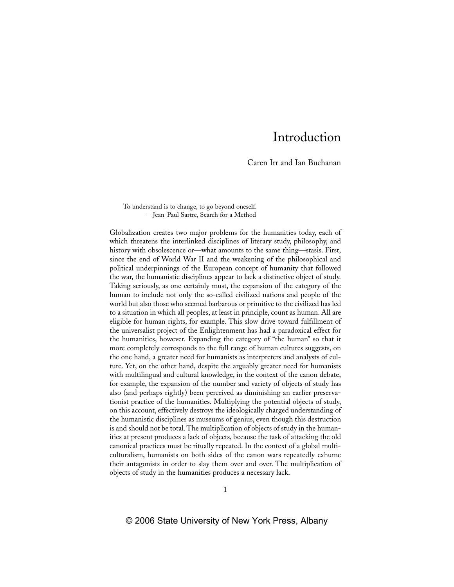# Introduction

## Caren Irr and Ian Buchanan

To understand is to change, to go beyond oneself. —Jean-Paul Sartre, Search for a Method

Globalization creates two major problems for the humanities today, each of which threatens the interlinked disciplines of literary study, philosophy, and history with obsolescence or—what amounts to the same thing—stasis. First, since the end of World War II and the weakening of the philosophical and political underpinnings of the European concept of humanity that followed the war, the humanistic disciplines appear to lack a distinctive object of study. Taking seriously, as one certainly must, the expansion of the category of the human to include not only the so-called civilized nations and people of the world but also those who seemed barbarous or primitive to the civilized has led to a situation in which all peoples, at least in principle, count as human. All are eligible for human rights, for example. This slow drive toward fulfillment of the universalist project of the Enlightenment has had a paradoxical effect for the humanities, however. Expanding the category of "the human" so that it more completely corresponds to the full range of human cultures suggests, on the one hand, a greater need for humanists as interpreters and analysts of culture. Yet, on the other hand, despite the arguably greater need for humanists with multilingual and cultural knowledge, in the context of the canon debate, for example, the expansion of the number and variety of objects of study has also (and perhaps rightly) been perceived as diminishing an earlier preservationist practice of the humanities. Multiplying the potential objects of study, on this account, effectively destroys the ideologically charged understanding of the humanistic disciplines as museums of genius, even though this destruction is and should not be total. The multiplication of objects of study in the humanities at present produces a lack of objects, because the task of attacking the old canonical practices must be ritually repeated. In the context of a global multiculturalism, humanists on both sides of the canon wars repeatedly exhume their antagonists in order to slay them over and over. The multiplication of objects of study in the humanities produces a necessary lack.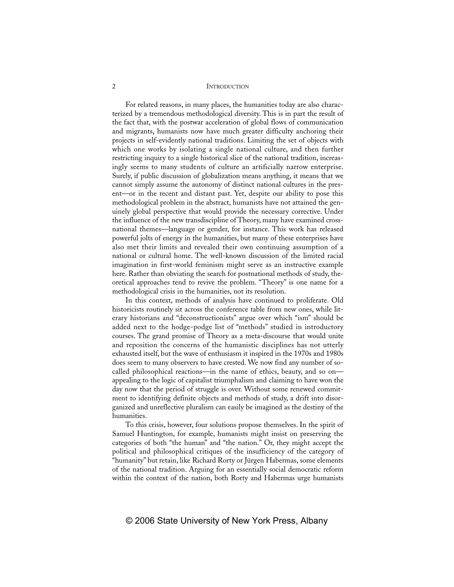For related reasons, in many places, the humanities today are also characterized by a tremendous methodological diversity. This is in part the result of the fact that, with the postwar acceleration of global flows of communication and migrants, humanists now have much greater difficulty anchoring their projects in self-evidently national traditions. Limiting the set of objects with which one works by isolating a single national culture, and then further restricting inquiry to a single historical slice of the national tradition, increasingly seems to many students of culture an artificially narrow enterprise. Surely, if public discussion of globalization means anything, it means that we cannot simply assume the autonomy of distinct national cultures in the present—or in the recent and distant past. Yet, despite our ability to pose this methodological problem in the abstract, humanists have not attained the genuinely global perspective that would provide the necessary corrective. Under the influence of the new transdiscipline of Theory, many have examined crossnational themes—language or gender, for instance. This work has released powerful jolts of energy in the humanities, but many of these enterprises have also met their limits and revealed their own continuing assumption of a national or cultural home. The well-known discussion of the limited racial imagination in first-world feminism might serve as an instructive example here. Rather than obviating the search for postnational methods of study, theoretical approaches tend to revive the problem. "Theory" is one name for a methodological crisis in the humanities, not its resolution.

In this context, methods of analysis have continued to proliferate. Old historicists routinely sit across the conference table from new ones, while literary historians and "deconstructionists" argue over which "ism" should be added next to the hodge-podge list of "methods" studied in introductory courses. The grand promise of Theory as a meta-discourse that would unite and reposition the concerns of the humanistic disciplines has not utterly exhausted itself, but the wave of enthusiasm it inspired in the 1970s and 1980s does seem to many observers to have crested. We now find any number of socalled philosophical reactions—in the name of ethics, beauty, and so on appealing to the logic of capitalist triumphalism and claiming to have won the day now that the period of struggle is over. Without some renewed commitment to identifying definite objects and methods of study, a drift into disorganized and unreflective pluralism can easily be imagined as the destiny of the humanities.

To this crisis, however, four solutions propose themselves. In the spirit of Samuel Huntington, for example, humanists might insist on preserving the categories of both "the human" and "the nation." Or, they might accept the political and philosophical critiques of the insufficiency of the category of "humanity" but retain, like Richard Rorty or Jürgen Habermas, some elements of the national tradition. Arguing for an essentially social democratic reform within the context of the nation, both Rorty and Habermas urge humanists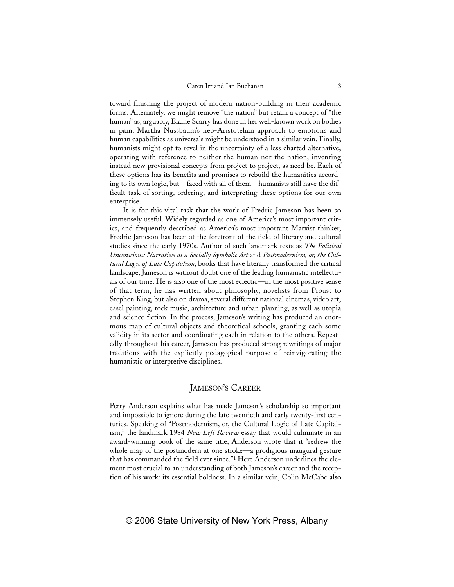toward finishing the project of modern nation-building in their academic forms. Alternately, we might remove "the nation" but retain a concept of "the human" as, arguably, Elaine Scarry has done in her well-known work on bodies in pain. Martha Nussbaum's neo-Aristotelian approach to emotions and human capabilities as universals might be understood in a similar vein. Finally, humanists might opt to revel in the uncertainty of a less charted alternative, operating with reference to neither the human nor the nation, inventing instead new provisional concepts from project to project, as need be. Each of these options has its benefits and promises to rebuild the humanities according to its own logic, but—faced with all of them—humanists still have the difficult task of sorting, ordering, and interpreting these options for our own enterprise.

It is for this vital task that the work of Fredric Jameson has been so immensely useful. Widely regarded as one of America's most important critics, and frequently described as America's most important Marxist thinker, Fredric Jameson has been at the forefront of the field of literary and cultural studies since the early 1970s. Author of such landmark texts as *The Political Unconscious: Narrative as a Socially Symbolic Act* and *Postmodernism, or, the Cultural Logic of Late Capitalism*, books that have literally transformed the critical landscape, Jameson is without doubt one of the leading humanistic intellectuals of our time. He is also one of the most eclectic—in the most positive sense of that term; he has written about philosophy, novelists from Proust to Stephen King, but also on drama, several different national cinemas, video art, easel painting, rock music, architecture and urban planning, as well as utopia and science fiction. In the process, Jameson's writing has produced an enormous map of cultural objects and theoretical schools, granting each some validity in its sector and coordinating each in relation to the others. Repeatedly throughout his career, Jameson has produced strong rewritings of major traditions with the explicitly pedagogical purpose of reinvigorating the humanistic or interpretive disciplines.

## JAMESON'S CAREER

Perry Anderson explains what has made Jameson's scholarship so important and impossible to ignore during the late twentieth and early twenty-first centuries. Speaking of "Postmodernism, or, the Cultural Logic of Late Capitalism," the landmark 1984 *New Left Review* essay that would culminate in an award-winning book of the same title, Anderson wrote that it "redrew the whole map of the postmodern at one stroke—a prodigious inaugural gesture that has commanded the field ever since."1 Here Anderson underlines the element most crucial to an understanding of both Jameson's career and the reception of his work: its essential boldness. In a similar vein, Colin McCabe also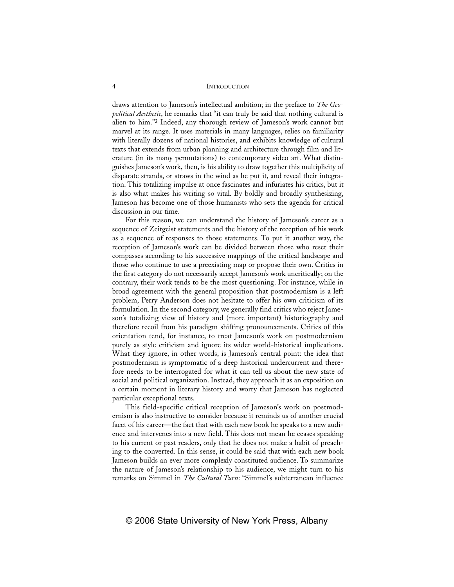draws attention to Jameson's intellectual ambition; in the preface to *The Geopolitical Aesthetic*, he remarks that "it can truly be said that nothing cultural is alien to him."2 Indeed, any thorough review of Jameson's work cannot but marvel at its range. It uses materials in many languages, relies on familiarity with literally dozens of national histories, and exhibits knowledge of cultural texts that extends from urban planning and architecture through film and literature (in its many permutations) to contemporary video art. What distinguishes Jameson's work, then, is his ability to draw together this multiplicity of disparate strands, or straws in the wind as he put it, and reveal their integration. This totalizing impulse at once fascinates and infuriates his critics, but it is also what makes his writing so vital. By boldly and broadly synthesizing, Jameson has become one of those humanists who sets the agenda for critical discussion in our time.

For this reason, we can understand the history of Jameson's career as a sequence of Zeitgeist statements and the history of the reception of his work as a sequence of responses to those statements. To put it another way, the reception of Jameson's work can be divided between those who reset their compasses according to his successive mappings of the critical landscape and those who continue to use a preexisting map or propose their own. Critics in the first category do not necessarily accept Jameson's work uncritically; on the contrary, their work tends to be the most questioning. For instance, while in broad agreement with the general proposition that postmodernism is a left problem, Perry Anderson does not hesitate to offer his own criticism of its formulation. In the second category, we generally find critics who reject Jameson's totalizing view of history and (more important) historiography and therefore recoil from his paradigm shifting pronouncements. Critics of this orientation tend, for instance, to treat Jameson's work on postmodernism purely as style criticism and ignore its wider world-historical implications. What they ignore, in other words, is Jameson's central point: the idea that postmodernism is symptomatic of a deep historical undercurrent and therefore needs to be interrogated for what it can tell us about the new state of social and political organization. Instead, they approach it as an exposition on a certain moment in literary history and worry that Jameson has neglected particular exceptional texts.

This field-specific critical reception of Jameson's work on postmodernism is also instructive to consider because it reminds us of another crucial facet of his career—the fact that with each new book he speaks to a new audience and intervenes into a new field. This does not mean he ceases speaking to his current or past readers, only that he does not make a habit of preaching to the converted. In this sense, it could be said that with each new book Jameson builds an ever more complexly constituted audience. To summarize the nature of Jameson's relationship to his audience, we might turn to his remarks on Simmel in *The Cultural Turn*: "Simmel's subterranean influence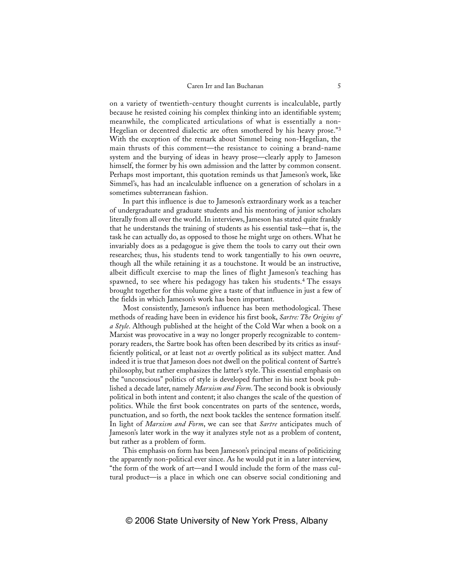on a variety of twentieth-century thought currents is incalculable, partly because he resisted coining his complex thinking into an identifiable system; meanwhile, the complicated articulations of what is essentially a non-Hegelian or decentred dialectic are often smothered by his heavy prose."3 With the exception of the remark about Simmel being non-Hegelian, the main thrusts of this comment—the resistance to coining a brand-name system and the burying of ideas in heavy prose—clearly apply to Jameson himself, the former by his own admission and the latter by common consent. Perhaps most important, this quotation reminds us that Jameson's work, like Simmel's, has had an incalculable influence on a generation of scholars in a sometimes subterranean fashion.

In part this influence is due to Jameson's extraordinary work as a teacher of undergraduate and graduate students and his mentoring of junior scholars literally from all over the world. In interviews, Jameson has stated quite frankly that he understands the training of students as his essential task—that is, the task he can actually do, as opposed to those he might urge on others. What he invariably does as a pedagogue is give them the tools to carry out their own researches; thus, his students tend to work tangentially to his own oeuvre, though all the while retaining it as a touchstone. It would be an instructive, albeit difficult exercise to map the lines of flight Jameson's teaching has spawned, to see where his pedagogy has taken his students.4 The essays brought together for this volume give a taste of that influence in just a few of the fields in which Jameson's work has been important.

Most consistently, Jameson's influence has been methodological. These methods of reading have been in evidence his first book, *Sartre: The Origins of a Style*. Although published at the height of the Cold War when a book on a Marxist was provocative in a way no longer properly recognizable to contemporary readers, the Sartre book has often been described by its critics as insufficiently political, or at least not *as* overtly political as its subject matter. And indeed it is true that Jameson does not dwell on the political content of Sartre's philosophy, but rather emphasizes the latter's style. This essential emphasis on the "unconscious" politics of style is developed further in his next book published a decade later, namely *Marxism and Form*. The second book is obviously political in both intent and content; it also changes the scale of the question of politics. While the first book concentrates on parts of the sentence, words, punctuation, and so forth, the next book tackles the sentence formation itself. In light of *Marxism and Form*, we can see that *Sartre* anticipates much of Jameson's later work in the way it analyzes style not as a problem of content, but rather as a problem of form.

This emphasis on form has been Jameson's principal means of politicizing the apparently non-political ever since. As he would put it in a later interview, "the form of the work of art—and I would include the form of the mass cultural product—is a place in which one can observe social conditioning and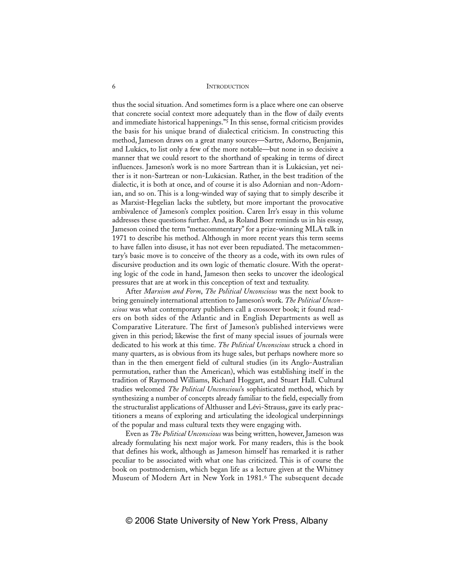thus the social situation. And sometimes form is a place where one can observe that concrete social context more adequately than in the flow of daily events and immediate historical happenings."5 In this sense, formal criticism provides the basis for his unique brand of dialectical criticism. In constructing this method, Jameson draws on a great many sources—Sartre, Adorno, Benjamin, and Lukács, to list only a few of the more notable—but none in so decisive a manner that we could resort to the shorthand of speaking in terms of direct influences. Jameson's work is no more Sartrean than it is Lukácsian, yet neither is it non-Sartrean or non-Lukácsian. Rather, in the best tradition of the dialectic, it is both at once, and of course it is also Adornian and non-Adornian, and so on. This is a long-winded way of saying that to simply describe it as Marxist-Hegelian lacks the subtlety, but more important the provocative ambivalence of Jameson's complex position. Caren Irr's essay in this volume addresses these questions further. And, as Roland Boer reminds us in his essay, Jameson coined the term "metacommentary" for a prize-winning MLA talk in 1971 to describe his method. Although in more recent years this term seems to have fallen into disuse, it has not ever been repudiated. The metacommentary's basic move is to conceive of the theory as a code, with its own rules of discursive production and its own logic of thematic closure. With the operating logic of the code in hand, Jameson then seeks to uncover the ideological pressures that are at work in this conception of text and textuality.

After *Marxism and Form*, *The Political Unconscious* was the next book to bring genuinely international attention to Jameson's work. *The Political Unconscious* was what contemporary publishers call a crossover book; it found readers on both sides of the Atlantic and in English Departments as well as Comparative Literature. The first of Jameson's published interviews were given in this period; likewise the first of many special issues of journals were dedicated to his work at this time. *The Political Unconscious* struck a chord in many quarters, as is obvious from its huge sales, but perhaps nowhere more so than in the then emergent field of cultural studies (in its Anglo-Australian permutation, rather than the American), which was establishing itself in the tradition of Raymond Williams, Richard Hoggart, and Stuart Hall. Cultural studies welcomed *The Political Unconscious*'s sophisticated method, which by synthesizing a number of concepts already familiar to the field, especially from the structuralist applications of Althusser and Lévi-Strauss, gave its early practitioners a means of exploring and articulating the ideological underpinnings of the popular and mass cultural texts they were engaging with.

Even as *The Political Unconscious* was being written, however, Jameson was already formulating his next major work. For many readers, this is the book that defines his work, although as Jameson himself has remarked it is rather peculiar to be associated with what one has criticized. This is of course the book on postmodernism, which began life as a lecture given at the Whitney Museum of Modern Art in New York in 1981.6 The subsequent decade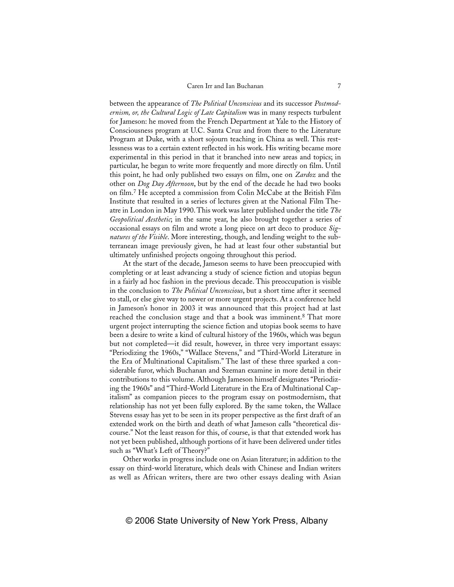between the appearance of *The Political Unconscious* and its successor *Postmodernism, or, the Cultural Logic of Late Capitalism* was in many respects turbulent for Jameson: he moved from the French Department at Yale to the History of Consciousness program at U.C. Santa Cruz and from there to the Literature Program at Duke, with a short sojourn teaching in China as well. This restlessness was to a certain extent reflected in his work. His writing became more experimental in this period in that it branched into new areas and topics; in particular, he began to write more frequently and more directly on film. Until this point, he had only published two essays on film, one on *Zardoz* and the other on *Dog Day Afternoon*, but by the end of the decade he had two books on film.7 He accepted a commission from Colin McCabe at the British Film Institute that resulted in a series of lectures given at the National Film Theatre in London in May 1990. This work was later published under the title *The Geopolitical Aesthetic*; in the same year, he also brought together a series of occasional essays on film and wrote a long piece on art deco to produce *Signatures of the Visible*. More interesting, though, and lending weight to the subterranean image previously given, he had at least four other substantial but ultimately unfinished projects ongoing throughout this period.

At the start of the decade, Jameson seems to have been preoccupied with completing or at least advancing a study of science fiction and utopias begun in a fairly ad hoc fashion in the previous decade. This preoccupation is visible in the conclusion to *The Political Unconscious*, but a short time after it seemed to stall, or else give way to newer or more urgent projects. At a conference held in Jameson's honor in 2003 it was announced that this project had at last reached the conclusion stage and that a book was imminent.8 That more urgent project interrupting the science fiction and utopias book seems to have been a desire to write a kind of cultural history of the 1960s, which was begun but not completed—it did result, however, in three very important essays: "Periodizing the 1960s," "Wallace Stevens," and "Third-World Literature in the Era of Multinational Capitalism." The last of these three sparked a considerable furor, which Buchanan and Szeman examine in more detail in their contributions to this volume. Although Jameson himself designates "Periodizing the 1960s" and "Third-World Literature in the Era of Multinational Capitalism" as companion pieces to the program essay on postmodernism, that relationship has not yet been fully explored. By the same token, the Wallace Stevens essay has yet to be seen in its proper perspective as the first draft of an extended work on the birth and death of what Jameson calls "theoretical discourse." Not the least reason for this, of course, is that that extended work has not yet been published, although portions of it have been delivered under titles such as "What's Left of Theory?"

Other works in progress include one on Asian literature; in addition to the essay on third-world literature, which deals with Chinese and Indian writers as well as African writers, there are two other essays dealing with Asian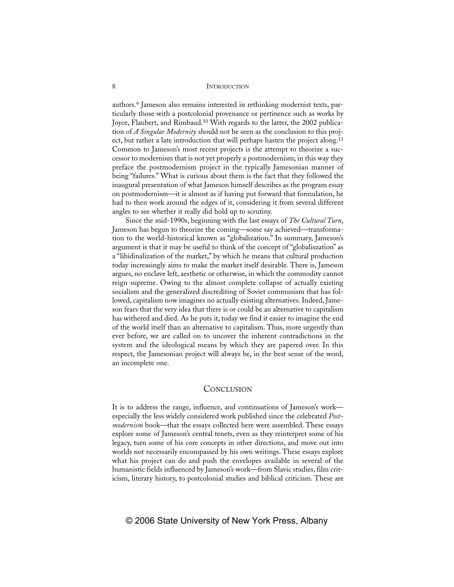authors.9 Jameson also remains interested in rethinking modernist texts, particularly those with a postcolonial provenance or pertinence such as works by Joyce, Flaubert, and Rimbaud.10 With regards to the latter, the 2002 publication of *A Singular Modernity* should not be seen as the conclusion to this project, but rather a late introduction that will perhaps hasten the project along.<sup>11</sup> Common to Jameson's most recent projects is the attempt to theorize a successor to modernism that is not yet properly a postmodernism; in this way they preface the postmodernism project in the typically Jamesonian manner of being "failures." What is curious about them is the fact that they followed the inaugural presentation of what Jameson himself describes as the program essay on postmodernism—it is almost as if having put forward that formulation, he had to then work around the edges of it, considering it from several different angles to see whether it really did hold up to scrutiny.

Since the mid-1990s, beginning with the last essays of *The Cultural Turn*, Jameson has begun to theorize the coming—some say achieved—transformation to the world-historical known as "globalization." In summary, Jameson's argument is that it may be useful to think of the concept of "globaliszation" as a "libidinalization of the market," by which he means that cultural production today increasingly aims to make the market itself desirable. There is, Jameson argues, no enclave left, aesthetic or otherwise, in which the commodity cannot reign supreme. Owing to the almost complete collapse of actually existing socialism and the generalized discrediting of Soviet communism that has followed, capitalism now imagines no actually existing alternatives. Indeed, Jameson fears that the very idea that there is or could be an alternative to capitalism has withered and died. As he puts it, today we find it easier to imagine the end of the world itself than an alternative to capitalism. Thus, more urgently than ever before, we are called on to uncover the inherent contradictions in the system and the ideological means by which they are papered over. In this respect, the Jamesonian project will always be, in the best sense of the word, an incomplete one.

### **CONCLUSION**

It is to address the range, influence, and continuations of Jameson's work especially the less widely considered work published since the celebrated *Postmodernism* book—that the essays collected here were assembled. These essays explore some of Jameson's central tenets, even as they reinterpret some of his legacy, turn some of his core concepts in other directions, and move out into worlds not necessarily encompassed by his own writings. These essays explore what his project can do and push the envelopes available in several of the humanistic fields influenced by Jameson's work—from Slavic studies, film criticism, literary history, to postcolonial studies and biblical criticism. These are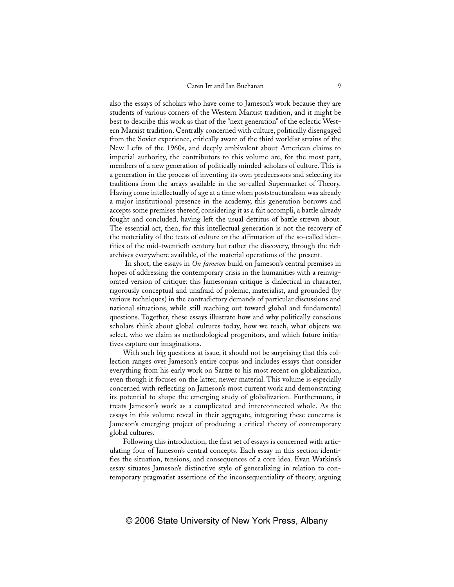also the essays of scholars who have come to Jameson's work because they are students of various corners of the Western Marxist tradition, and it might be best to describe this work as that of the "next generation" of the eclectic Western Marxist tradition. Centrally concerned with culture, politically disengaged from the Soviet experience, critically aware of the third worldist strains of the New Lefts of the 1960s, and deeply ambivalent about American claims to imperial authority, the contributors to this volume are, for the most part, members of a new generation of politically minded scholars of culture. This is a generation in the process of inventing its own predecessors and selecting its traditions from the arrays available in the so-called Supermarket of Theory. Having come intellectually of age at a time when poststructuralism was already a major institutional presence in the academy, this generation borrows and accepts some premises thereof, considering it as a fait accompli, a battle already fought and concluded, having left the usual detritus of battle strewn about. The essential act, then, for this intellectual generation is not the recovery of the materiality of the texts of culture or the affirmation of the so-called identities of the mid-twentieth century but rather the discovery, through the rich archives everywhere available, of the material operations of the present.

In short, the essays in *On Jameson* build on Jameson's central premises in hopes of addressing the contemporary crisis in the humanities with a reinvigorated version of critique: this Jamesonian critique is dialectical in character, rigorously conceptual and unafraid of polemic, materialist, and grounded (by various techniques) in the contradictory demands of particular discussions and national situations, while still reaching out toward global and fundamental questions. Together, these essays illustrate how and why politically conscious scholars think about global cultures today, how we teach, what objects we select, who we claim as methodological progenitors, and which future initiatives capture our imaginations.

With such big questions at issue, it should not be surprising that this collection ranges over Jameson's entire corpus and includes essays that consider everything from his early work on Sartre to his most recent on globalization, even though it focuses on the latter, newer material. This volume is especially concerned with reflecting on Jameson's most current work and demonstrating its potential to shape the emerging study of globalization. Furthermore, it treats Jameson's work as a complicated and interconnected whole. As the essays in this volume reveal in their aggregate, integrating these concerns is Jameson's emerging project of producing a critical theory of contemporary global cultures.

Following this introduction, the first set of essays is concerned with articulating four of Jameson's central concepts. Each essay in this section identifies the situation, tensions, and consequences of a core idea. Evan Watkins's essay situates Jameson's distinctive style of generalizing in relation to contemporary pragmatist assertions of the inconsequentiality of theory, arguing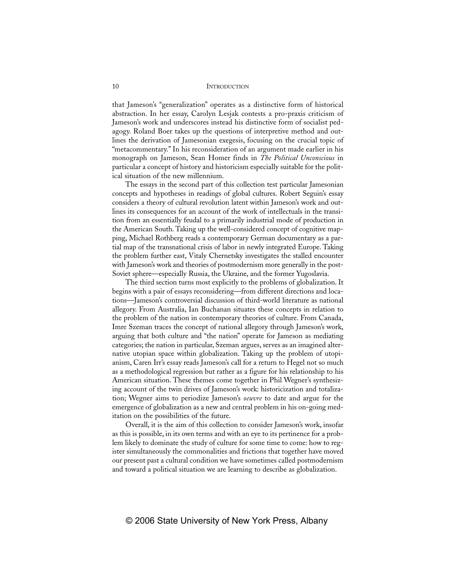that Jameson's "generalization" operates as a distinctive form of historical abstraction. In her essay, Carolyn Lesjak contests a pro-praxis criticism of Jameson's work and underscores instead his distinctive form of socialist pedagogy. Roland Boer takes up the questions of interpretive method and outlines the derivation of Jamesonian exegesis, focusing on the crucial topic of "metacommentary." In his reconsideration of an argument made earlier in his monograph on Jameson, Sean Homer finds in *The Political Unconscious* in particular a concept of history and historicism especially suitable for the political situation of the new millennium.

The essays in the second part of this collection test particular Jamesonian concepts and hypotheses in readings of global cultures. Robert Seguin's essay considers a theory of cultural revolution latent within Jameson's work and outlines its consequences for an account of the work of intellectuals in the transition from an essentially feudal to a primarily industrial mode of production in the American South. Taking up the well-considered concept of cognitive mapping, Michael Rothberg reads a contemporary German documentary as a partial map of the transnational crisis of labor in newly integrated Europe. Taking the problem further east, Vitaly Chernetsky investigates the stalled encounter with Jameson's work and theories of postmodernism more generally in the post-Soviet sphere—especially Russia, the Ukraine, and the former Yugoslavia.

The third section turns most explicitly to the problems of globalization. It begins with a pair of essays reconsidering—from different directions and locations—Jameson's controversial discussion of third-world literature as national allegory. From Australia, Ian Buchanan situates these concepts in relation to the problem of the nation in contemporary theories of culture. From Canada, Imre Szeman traces the concept of national allegory through Jameson's work, arguing that both culture and "the nation" operate for Jameson as mediating categories; the nation in particular, Szeman argues, serves as an imagined alternative utopian space within globalization. Taking up the problem of utopianism, Caren Irr's essay reads Jameson's call for a return to Hegel not so much as a methodological regression but rather as a figure for his relationship to his American situation. These themes come together in Phil Wegner's synthesizing account of the twin drives of Jameson's work: historicization and totalization; Wegner aims to periodize Jameson's *oeuvre* to date and argue for the emergence of globalization as a new and central problem in his on-going meditation on the possibilities of the future.

Overall, it is the aim of this collection to consider Jameson's work, insofar as this is possible, in its own terms and with an eye to its pertinence for a problem likely to dominate the study of culture for some time to come: how to register simultaneously the commonalities and frictions that together have moved our present past a cultural condition we have sometimes called postmodernism and toward a political situation we are learning to describe as globalization.